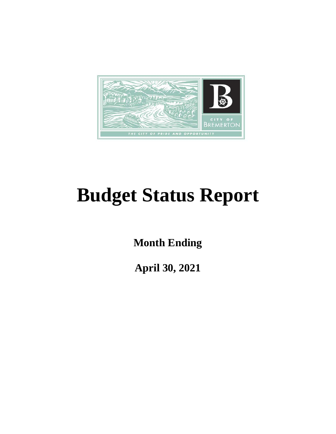

# **Budget Status Report**

**Month Ending**

**April 30, 2021**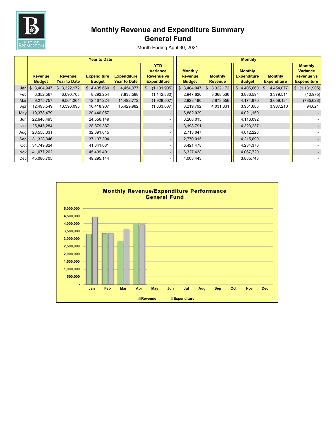

# **Monthly Revenue and Expenditure Summary General Fund**

|      | <b>Year to Date</b>             |                                       |                                     |                                           |                                                                          |  |                                                   | <b>Monthly</b>                   |  |                                                       |    |                                      |                                                                              |            |  |
|------|---------------------------------|---------------------------------------|-------------------------------------|-------------------------------------------|--------------------------------------------------------------------------|--|---------------------------------------------------|----------------------------------|--|-------------------------------------------------------|----|--------------------------------------|------------------------------------------------------------------------------|------------|--|
|      | <b>Revenue</b><br><b>Budget</b> | <b>Revenue</b><br><b>Year to Date</b> | <b>Expenditure</b><br><b>Budget</b> | <b>Expenditure</b><br><b>Year to Date</b> | <b>YTD</b><br><b>Variance</b><br><b>Revenue vs</b><br><b>Expenditure</b> |  | <b>Monthly</b><br><b>Revenue</b><br><b>Budget</b> | <b>Monthly</b><br><b>Revenue</b> |  | <b>Monthly</b><br><b>Expenditure</b><br><b>Budget</b> |    | <b>Monthly</b><br><b>Expenditure</b> | <b>Monthly</b><br><b>Variance</b><br><b>Revenue vs</b><br><b>Expenditure</b> |            |  |
| Jani | \$3,404,947                     | \$3,322,172                           | \$4,405,660                         | 4,454,077<br>\$                           | (1, 131, 905)<br>\$                                                      |  | \$3,404,947                                       | 3,322,172                        |  | \$4,405,660                                           | \$ | 4,454,077                            | \$(1,131,905)                                                                |            |  |
| Feb  | 6,352,567                       | 6,690,708                             | 8,292,254                           | 7,833,588                                 | (1, 142, 880)                                                            |  | 2,947,620                                         | 3,368,536                        |  | 3,886,594                                             |    | 3,379,511                            |                                                                              | (10, 975)  |  |
| Mar  | 9,275,757                       | 9,564,264                             | 12,467,224                          | 11,492,772                                | (1,928,507)                                                              |  | 2,923,190                                         | 2,873,556                        |  | 4,174,970                                             |    | 3,659,184                            |                                                                              | (785, 628) |  |
| Apr  | 12,495,549                      | 13,596,095                            | 16,418,907                          | 15,429,982                                | (1,833,887)                                                              |  | 3,219,792                                         | 4,031,831                        |  | 3,951,683                                             |    | 3,937,210                            |                                                                              | 94,621     |  |
| May  | 19,378,479                      |                                       | 20,440,057                          |                                           |                                                                          |  | 6,882,929                                         |                                  |  | 4,021,150                                             |    |                                      |                                                                              |            |  |
| Jun  | 22,646,493                      |                                       | 24,556,149                          |                                           |                                                                          |  | 3,268,015                                         |                                  |  | 4,116,092                                             |    |                                      |                                                                              |            |  |
| Jul  | 25,845,284                      |                                       | 28,879,387                          |                                           |                                                                          |  | 3,198,791                                         |                                  |  | 4,323,237                                             |    |                                      |                                                                              |            |  |
| Aug  | 28,558,331                      |                                       | 32,891,615                          |                                           |                                                                          |  | 2,713,047                                         |                                  |  | 4,012,228                                             |    |                                      |                                                                              |            |  |
| Sep  | 31,328,346                      |                                       | 37,107,304                          |                                           |                                                                          |  | 2,770,015                                         |                                  |  | 4,215,690                                             |    |                                      |                                                                              |            |  |
| Oct  | 34,749,824                      |                                       | 41,341,681                          |                                           |                                                                          |  | 3,421,478                                         |                                  |  | 4,234,376                                             |    |                                      |                                                                              |            |  |
| Nov  | 41,077,262                      |                                       | 45,409,401                          |                                           |                                                                          |  | 6,327,438                                         |                                  |  | 4,067,720                                             |    |                                      |                                                                              |            |  |
| Dec  | 45,080,705                      |                                       | 49,295,144                          |                                           |                                                                          |  | 4,003,443                                         |                                  |  | 3,885,743                                             |    |                                      |                                                                              |            |  |

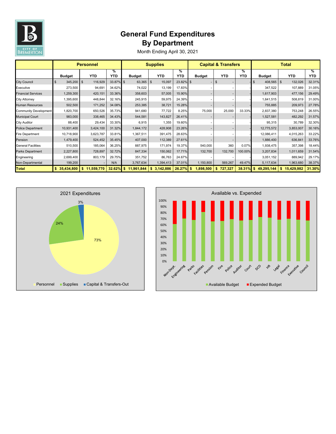

## **General Fund Expenditures By Department**

|                              |               | <b>Personnel</b> | <b>Supplies</b> |               |                 |                 | <b>Capital &amp; Transfers</b> |                          | <b>Total</b>    |                  |                  |          |
|------------------------------|---------------|------------------|-----------------|---------------|-----------------|-----------------|--------------------------------|--------------------------|-----------------|------------------|------------------|----------|
|                              | <b>Budget</b> | YTD              | %<br>YTD        | <b>Budget</b> | <b>YTD</b>      | %<br><b>YTD</b> | <b>Budget</b>                  | YTD                      | %<br><b>YTD</b> | <b>Budget</b>    | <b>YTD</b>       | %<br>YTD |
| <b>City Council</b>          | $345,200$ \$  | 116,929          | 33.87% \$       | $63,365$ \$   | 15,097          | 23.82% \$       |                                |                          |                 | 408,565 \$<br>\$ | 132,026          | 32.31%   |
| Executive                    | 273,500       | 94,691           | 34.62%          | 74,022        | 13,199          | 17.83%          |                                |                          |                 | 347,522          | 107,889          | 31.05%   |
| <b>Financial Services</b>    | 1,259,300     | 420,151          | 33.36%          | 358,603       | 57,005          | 15.90%          |                                | ٠                        |                 | 1,617,903        | 477,156          | 29.49%   |
| <b>City Attorney</b>         | 1,395,600     | 448,844          | 32.16%          | 245,915       | 59,975          | 24.39%          |                                |                          |                 | 1,641,515        | 508,819          | 31.00%   |
| <b>Human Resources</b>       | 502,500       | 171,252          | 34.08%          | 253,385       | 38,721          | 15.28%          |                                | ٠                        |                 | 755,885          | 209,973          | 27.78%   |
| <b>Community Development</b> | 1,820,700     | 650,526          | 35.73%          | 941,680       | 77,722          | 8.25%           | 75,000                         | 25,000                   | 33.33%          | 2,837,380        | 753,248          | 26.55%   |
| <b>Municipal Court</b>       | 983,000       | 338,465          | 34.43%          | 544,581       | 143,827         | 26.41%          |                                |                          |                 | 1,527,581        | 482,292          | 31.57%   |
| <b>City Auditor</b>          | 88,400        | 29,434           | 33.30%          | 6,915         | 1,355           | 19.60%          |                                |                          |                 | 95,315           | 30,789           | 32.30%   |
| <b>Police Department</b>     | 10,931,400    | 3,424,100        | 31.32%          | 1,844,172     | 428,908         | 23.26%          |                                | $\overline{\phantom{a}}$ |                 | 12,775,572       | 3,853,007        | 30.16%   |
| <b>Fire Department</b>       | 10,718,900    | 3,623,787        | 33.81%          | 1,367,511     | 391,475         | 28.63%          |                                |                          |                 | 12,086,411       | 4,015,263        | 33.22%   |
| Pension                      | 1,479,400     | 524,452          | 35.45%          | 407,000       | 112,389         | 27.61%          |                                |                          |                 | 1,886,400        | 636,841          | 33.76%   |
| <b>General Facilities</b>    | 510,500       | 185,064          | 36.25%          | 887,975       | 171,974         | 19.37%          | 540,000                        | 360                      | 0.07%           | 1,938,475        | 357,398          | 18.44%   |
| <b>Parks Department</b>      | 2,227,800     | 728,897          | 32.72%          | 847,334       | 150,062         | 17.71%          | 132,700                        | 132,700                  | 100.00%         | 3,207,834        | 1,011,659        | 31.54%   |
| Engineering                  | 2,699,400     | 803,179          | 29.75%          | 351,752       | 86,763          | 24.67%          |                                |                          |                 | 3,051,152        | 889,942          | 29.17%   |
| Non-Departmental             | 199,200       |                  | N/A             | 3,767,634     | 1,394,413       | 37.01%          | 1,150,800                      | 569,267                  | 49.47%          | 5,117,634        | 1,963,680        | 38.37%   |
| <b>Total</b>                 | \$35,434,800  | 11,559,770<br>\$ | $32.62\%$ \$    | 11,961,844    | 3,142,886<br>\$ | 26.27%          | 1,898,500<br>\$                | 727,327<br>\$            | 38.31%          | 49,295,144<br>\$ | 15,429,982<br>s. | 31.30%   |



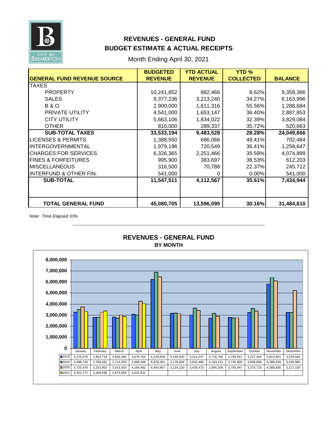

## **REVENUES - GENERAL FUND BUDGET ESTIMATE & ACTUAL RECEIPTS**

Month Ending April 30, 2021

|                                    | <b>BUDGETED</b> | <b>YTD ACTUAL</b> | <b>YTD %</b>     |                |
|------------------------------------|-----------------|-------------------|------------------|----------------|
| <b>GENERAL FUND REVENUE SOURCE</b> | <b>REVENUE</b>  | <b>REVENUE</b>    | <b>COLLECTED</b> | <b>BALANCE</b> |
| <b>TAXES</b>                       |                 |                   |                  |                |
| <b>PROPERTY</b>                    | 10,241,852      | 882,466           | 8.62%            | 9,359,386      |
| <b>SALES</b>                       | 9,377,236       | 3,213,240         | 34.27%           | 6,163,996      |
| <b>B&amp;O</b>                     | 2,900,000       | 1,611,316         | 55.56%           | 1,288,684      |
| PRIVATE UTILITY                    | 4,541,000       | 1,653,147         | 36.40%           | 2,887,853      |
| <b>CITY UTILITY</b>                | 5,663,106       | 1,834,022         | 32.39%           | 3,829,084      |
| <b>OTHER</b>                       | 810,000         | 289,337           | 35.72%           | 520,663        |
| <b>SUB-TOTAL TAXES</b>             | 33,533,194      | 9,483,528         | 28.28%           | 24,049,666     |
| <b>LICENSES &amp; PERMITS</b>      | 1,388,550       | 686,066           | 49.41%           | 702,484        |
| <b>INTERGOVERNMENTAL</b>           | 1,979,196       | 720,549           | 36.41%           | 1,258,647      |
| <b>CHARGES FOR SERVICES</b>        | 6,326,365       | 2,251,466         | 35.59%           | 4,074,899      |
| <b>FINES &amp; FORFEITURES</b>     | 995,900         | 383,697           | 38.53%           | 612,203        |
| <b>MISCELLANEOUS</b>               | 316,500         | 70,788            | 22.37%           | 245,712        |
| INTERFUND & OTHER FIN.             | 541,000         | 0                 | 0.00%            | 541,000        |
| <b>SUB-TOTAL</b>                   | 11,547,511      | 4,112,567         | 35.61%           | 7,434,944      |
|                                    |                 |                   |                  |                |
|                                    |                 |                   |                  |                |
| <b>TOTAL GENERAL FUND</b>          | 45,080,705      | 13,596,095        | 30.16%           | 31,484,610     |

*Note: Time Elapsed 33%*



#### **BY MONTH REVENUES - GENERAL FUND**

**\_\_\_\_\_\_\_\_\_\_\_\_\_\_\_\_\_\_\_\_\_\_\_\_\_\_\_\_\_\_\_\_\_\_\_\_\_\_\_\_\_\_\_\_\_\_\_\_\_\_\_\_\_\_**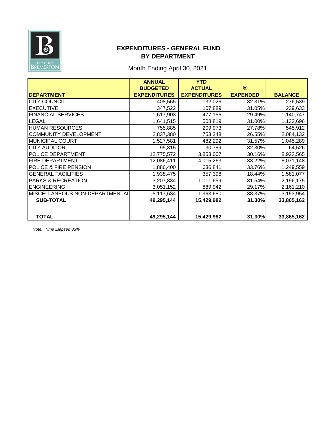

## **EXPENDITURES - GENERAL FUND BY DEPARTMENT**

# Month Ending April 30, 2021

|                                | <b>ANNUAL</b>       | <b>YTD</b>          |                 |                |
|--------------------------------|---------------------|---------------------|-----------------|----------------|
|                                | <b>BUDGETED</b>     | <b>ACTUAL</b>       | $\%$            |                |
| <b>DEPARTMENT</b>              | <b>EXPENDITURES</b> | <b>EXPENDITURES</b> | <b>EXPENDED</b> | <b>BALANCE</b> |
| <b>CITY COUNCIL</b>            | 408,565             | 132,026             | 32.31%          | 276,539        |
| <b>EXECUTIVE</b>               | 347,522             | 107,889             | 31.05%          | 239,633        |
| <b>FINANCIAL SERVICES</b>      | 1,617,903           | 477,156             | 29.49%          | 1,140,747      |
| <b>LEGAL</b>                   | 1,641,515           | 508,819             | 31.00%          | 1,132,696      |
| <b>HUMAN RESOURCES</b>         | 755,885             | 209,973             | 27.78%          | 545,912        |
| <b>COMMUNITY DEVELOPMENT</b>   | 2,837,380           | 753,248             | 26.55%          | 2,084,132      |
| <b>MUNICIPAL COURT</b>         | 1,527,581           | 482,292             | 31.57%          | 1,045,289      |
| <b>CITY AUDITOR</b>            | 95,315              | 30,789              | 32.30%          | 64,526         |
| POLICE DEPARTMENT              | 12,775,572          | 3,853,007           | 30.16%          | 8,922,565      |
| <b>FIRE DEPARTMENT</b>         | 12,086,411          | 4,015,263           | 33.22%          | 8,071,148      |
| POLICE & FIRE PENSION          | 1,886,400           | 636,841             | 33.76%          | 1,249,559      |
| <b>GENERAL FACILITIES</b>      | 1,938,475           | 357,398             | 18.44%          | 1,581,077      |
| <b>PARKS &amp; RECREATION</b>  | 3,207,834           | 1,011,659           | 31.54%          | 2,196,175      |
| <b>ENGINEERING</b>             | 3,051,152           | 889,942             | 29.17%          | 2,161,210      |
| MISCELLANEOUS NON-DEPARTMENTAL | 5,117,634           | 1,963,680           | 38.37%          | 3,153,954      |
| <b>SUB-TOTAL</b>               | 49,295,144          | 15,429,982          | 31.30%          | 33,865,162     |
|                                |                     |                     |                 |                |
| <b>TOTAL</b>                   | 49,295,144          | 15,429,982          | 31.30%          | 33,865,162     |

*Note: Time Elapsed 33%*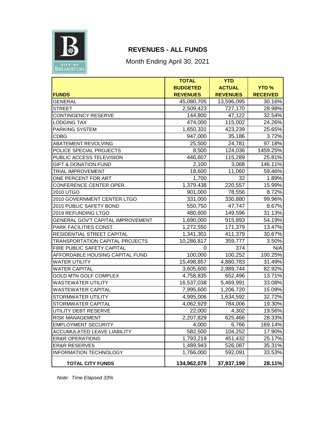

## **REVENUES - ALL FUNDS**

Month Ending April 30, 2021

|                                        | <b>TOTAL</b>    | <b>YTD</b>      |                 |
|----------------------------------------|-----------------|-----------------|-----------------|
|                                        | <b>BUDGETED</b> | <b>ACTUAL</b>   | <b>YTD%</b>     |
| <b>FUNDS</b>                           | <b>REVENUES</b> | <b>REVENUES</b> | <b>RECEIVED</b> |
| <b>GENERAL</b>                         | 45,080,705      | 13,596,095      | 30.16%          |
| <b>STREET</b>                          | 2,509,423       | 727,170         | 28.98%          |
| <b>CONTINGENCY RESERVE</b>             | 144,800         | 47,122          | 32.54%          |
| <b>LODGING TAX</b>                     | 474,000         | 115,002         | 24.26%          |
| PARKING SYSTEM                         | 1,650,331       | 423,239         | 25.65%          |
| <b>CDBG</b>                            | 947,000         | 35,186          | 3.72%           |
| <b>ABATEMENT REVOLVING</b>             | 25,500          | 24,781          | 97.18%          |
| POLICE SPECIAL PROJECTS                | 8,500           | 124,036         | 1459.25%        |
| PUBLIC ACCESS TELEVISION               | 446,607         | 115,289         | 25.81%          |
| <b>GIFT &amp; DONATION FUND</b>        | 2,100           | 3,068           | 146.11%         |
| TRIAL IMPROVEMENT                      | 18,600          | 11,060          | 59.46%          |
| ONE PERCENT FOR ART                    | 1,700           | 32              | 1.89%           |
| CONFERENCE CENTER OPER.                | 1,379,438       | 220,557         | 15.99%          |
| 2010 UTGO                              | 901,000         | 78,556          | 8.72%           |
| 2010 GOVERNMENT CENTER LTGO            | 331,000         | 330,880         | 99.96%          |
| 2015 PUBLIC SAFETY BOND                | 550,750         | 47,747          | 8.67%           |
| 2019 REFUNDING LTGO                    | 480,600         | 149,596         | 31.13%          |
| GENERAL GOV'T CAPITAL IMPROVEMENT      | 1,690,000       | 915,893         | 54.19%          |
| PARK FACILITIES CONST.                 | 1,272,550       | 171,379         | 13.47%          |
| RESIDENTIAL STREET CAPITAL             | 1,341,301       | 411,379         | 30.67%          |
| <b>TRANSPORTATION CAPITAL PROJECTS</b> | 10,286,817      | 359,777         | 3.50%           |
| FIRE PUBLIC SAFETY CAPITAL             | 0               | 374             | N/A             |
| AFFORDABLE HOUSING CAPITAL FUND        | 100,000         | 100,252         | 100.25%         |
| <b>WATER UTILITY</b>                   | 15,498,857      | 4,880,783       | 31.49%          |
| <b>WATER CAPITAL</b>                   | 3,605,600       | 2,989,744       | 82.92%          |
| <b>GOLD MTN GOLF COMPLEX</b>           | 4,758,835       | 652,496         | 13.71%          |
| <b>WASTEWATER UTILITY</b>              | 16,537,038      | 5,469,991       | 33.08%          |
| <b>WASTEWATER CAPITAL</b>              | 7,995,600       | 1,206,720       | 15.09%          |
| STORMWATER UTILITY                     | 4,995,006       | 1,634,592       | 32.72%          |
| STORMWATER CAPITAL                     | 4,062,929       | 784,006         | 19.30%          |
| UTILITY DEBT RESERVE                   | 22,000          | 4,302           | 19.56%          |
| <b>RISK MANAGEMENT</b>                 | 2,207,829       | 625,466         | 28.33%          |
| EMPLOYMENT SECURITY                    | 4,000           | 6,766           | 169.14%         |
| <b>ACCUMULATED LEAVE LIABILITY</b>     | 582,500         | 104,252         | 17.90%          |
| <b>ER&amp;R OPERATIONS</b>             | 1,793,219       | 451,432         | 25.17%          |
| <b>ER&amp;R RESERVES</b>               | 1,489,943       | 526,087         | 35.31%          |
| INFORMATION TECHNOLOGY                 | 1,766,000       | 592,091         | 33.53%          |
| <b>TOTAL CITY FUNDS</b>                | 134,962,078     | 37,937,199      | 28.11%          |

*Note: Time Elapsed 33%*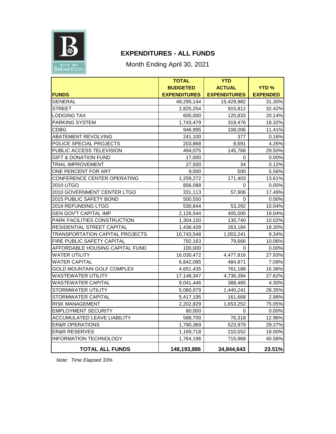

## **EXPENDITURES - ALL FUNDS**

Month Ending April 30, 2021

|                                        | <b>TOTAL</b>        | <b>YTD</b>          |                 |
|----------------------------------------|---------------------|---------------------|-----------------|
|                                        | <b>BUDGETED</b>     | <b>ACTUAL</b>       | <b>YTD %</b>    |
| <b>FUNDS</b>                           | <b>EXPENDITURES</b> | <b>EXPENDITURES</b> | <b>EXPENDED</b> |
| <b>GENERAL</b>                         | 49,295,144          | 15,429,982          | 31.30%          |
| <b>STREET</b>                          | 2,825,254           | 915,812             | 32.42%          |
| <b>LODGING TAX</b>                     | 600,000             | 120,833             | 20.14%          |
| PARKING SYSTEM                         | 1,743,479           | 319,476             | 18.32%          |
| CDBG                                   | 946,995             | 108,006             | 11.41%          |
| <b>ABATEMENT REVOLVING</b>             | 241,100             | 377                 | 0.16%           |
| POLICE SPECIAL PROJECTS                | 203,868             | 8,691               | 4.26%           |
| PUBLIC ACCESS TELEVISION               | 494,075             | 145,768             | 29.50%          |
| <b>GIFT &amp; DONATION FUND</b>        | 17,000              | 0                   | 0.00%           |
| <b>TRIAL IMPROVEMENT</b>               | 27,500              | 34                  | 0.12%           |
| ONE PERCENT FOR ART                    | 9,000               | 500                 | 5.56%           |
| CONFERENCE CENTER OPERATING            | 1,259,272           | 171,403             | 13.61%          |
| 2010 UTGO                              | 856,088             | 0                   | $0.00\%$        |
| 2010 GOVERNMENT CENTER LTGO            | 331,113             | 57,906              | 17.49%          |
| 2015 PUBLIC SAFETY BOND                | 500,550             | $\Omega$            | 0.00%           |
| 2019 REFUNDING LTGO                    | 530,844             | 53,292              | 10.04%          |
| <b>GEN GOV'T CAPITAL IMP</b>           | 2,126,544           | 405,000             | 19.04%          |
| PARK FACILITIES CONSTRUCTION           | 1,304,150           | 130,740             | 10.02%          |
| RESIDENTIAL STREET CAPITAL             | 1,438,428           | 263,184             | 18.30%          |
| <b>TRANSPORTATION CAPITAL PROJECTS</b> | 10,743,548          | 1,003,241           | 9.34%           |
| FIRE PUBLIC SAFETY CAPITAL             | 792,163             | 79,666              | 10.06%          |
| AFFORDABLE HOUSING CAPITAL FUND        | 100,000             | 0                   | $0.00\%$        |
| <b>WATER UTILITY</b>                   | 16,030,472          | 4,477,816           | 27.93%          |
| <b>WATER CAPITAL</b>                   | 6,842,085           | 484,871             | 7.09%           |
| <b>GOLD MOUNTAIN GOLF COMPLEX</b>      | 4,651,435           | 761,188             | 16.36%          |
| <b>WASTEWATER UTILITY</b>              | 17,148,347          | 4,736,394           | 27.62%          |
| <b>WASTEWATER CAPITAL</b>              | 9,041,446           | 388,485             | 4.30%           |
| STORMWATER UTILITY                     | 5,080,979           | 1,440,241           | 28.35%          |
| STORMWATER CAPITAL                     | 5,417,195           | 161,668             | 2.98%           |
| <b>RISK MANAGEMENT</b>                 | 2,202,829           | 1,653,252           | 75.05%          |
| <b>EMPLOYMENT SECURITY</b>             | 80,000              | 0                   | $0.00\%$        |
| ACCUMULATED LEAVE LIABILITY            | 588,700             | 76,318              | 12.96%          |
| <b>ER&amp;R OPERATIONS</b>             | 1,790,369           | 523,979             | 29.27%          |
| <b>ER&amp;R RESERVES</b>               | 1,169,718           | 210,552             | 18.00%          |
| <b>INFORMATION TECHNOLOGY</b>          | 1,764,196           | 715,968             | 40.58%          |
| <b>TOTAL ALL FUNDS</b>                 | 148,193,886         | 34,844,643          | 23.51%          |

*Note: Time Elapsed 33%*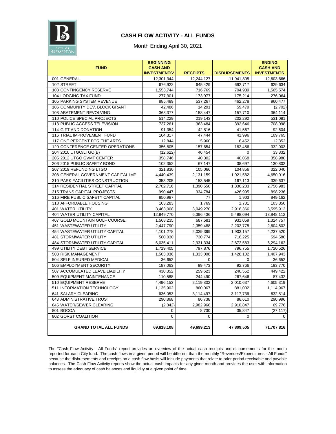

#### **CASH FLOW ACTIVITY - ALL FUNDS**

Month Ending April 30, 2021

| <b>FUND</b>                        | <b>BEGINNING</b><br><b>CASH AND</b> |                 |                      | <b>ENDING</b><br><b>CASH AND</b> |
|------------------------------------|-------------------------------------|-----------------|----------------------|----------------------------------|
|                                    | <b>INVESTMENTS*</b>                 | <b>RECEIPTS</b> | <b>DISBURSEMENTS</b> | <b>INVESTMENTS</b>               |
| 001 GENERAL                        | 12,301,344                          | 12,244,127      | 11,941,805           | 12,603,666                       |
| 102 STREET                         | 676,922                             | 645,429         | 692,717              | 629,634                          |
| 103 CONTINGENCY RESERVE            | 1,553,744                           | 716,769         | 704,939              | 1,565,574                        |
| 104 LODGING TAX FUND               | 277,301                             | 173,977         | 175,214              | 276,064                          |
| 105 PARKING SYSTEM REVENUE         | 885,489                             | 537,267         | 462,278              | 960,477                          |
| 106 COMMUNITY DEV. BLOCK GRANT     | 42,486                              | 14,291          | 59,479               | (2,702)                          |
| 108 ABATEMENT REVOLVING            | 363,377                             | 158,447         | 157,710              | 364,114                          |
| 110 POLICE SPECIAL PROJECTS        | 514,229                             | 219,143         | 202,292              | 531,081                          |
| 113 PUBLIC ACCESS TELEVISION       | 737,261                             | 363,484         | 392,646              | 708,098                          |
| 114 GIFT AND DONATION              | 91,354                              | 42,816          | 41,567               | 92,604                           |
| 116 TRIAL IMPROVEMENT FUND         | 104,317                             | 47,444          | 41,996               | 109,765                          |
| 117 ONE PERCENT FOR THE ARTS       | 12,844                              | 5,960           | 6,452                | 12,352                           |
| 120 CONFERENCE CENTER OPERATIONS   | 356,805                             | 157,654         | 182,456              | 332,003                          |
| 204 2010 UTGO/LTGO(B)              | (12, 622)                           | 46,454          | 0                    | 33,832                           |
| 205 2012 UTGO GVMT CENTER          | 358,746                             | 40,302          | 40,068               | 358,980                          |
| 206 2015 PUBLIC SAFETY BOND        | 102,352                             | 67,147          | 38,697               | 130,802                          |
| 207 2019 REFUNDING LTGO            | 321,830                             | 105,066         | 104,856              | 322,040                          |
| 308 GENERAL GOVERNMENT CAPITAL IMP | 4,440,439                           | 2,131,159       | 1,921,582            | 4,650,016                        |
| 310 PARK FACILITIES CONSTRUCTION   | 353,205                             | 153,545         | 167,113              | 339,637                          |
| 314 RESIDENTIAL STREET CAPITAL     | 2,702,716                           | 1,390,550       | 1,336,283            | 2,756,983                        |
| 315 TRANS CAPITAL PROJECTS         | 990,447                             | 334,784         | 426,995              | 898,236                          |
| 316 FIRE PUBLIC SAFETY CAPITAL     | 850,987                             | 77              | 1,903                | 849,162                          |
| 318 AFFORDABLE HOUSING             | 103,283                             | 1,769           | 1,701                | 103,350                          |
| <b>401 WATER UTILITY</b>           | 3,463,008                           | 3,049,270       | 2,916,366            | 3,595,912                        |
| 404 WATER UTILITY CAPITAL          | 12,949,770                          | 6,396,436       | 5,498,094            | 13,848,112                       |
| 407 GOLD MOUNTAIN GOLF COURSE      | 1,568,235                           | 687,581         | 931,059              | 1,324,757                        |
| 451 WASTEWATER UTILITY             | 2,447,790                           | 2,359,488       | 2,202,775            | 2,604,502                        |
| 454 WASTEWATER UTILITY CAPITAL     | 4,101,278                           | 2,039,399       | 1,903,157            | 4,237,520                        |
| <b>481 STORMWATER UTILITY</b>      | 580,030                             | 730,774         | 716,225              | 594,580                          |
| 484 STORMWATER UTILITY CAPITAL     | 6,035,411                           | 2,931,334       | 2,672,583            | 6,294,162                        |
| 499 UTILITY DEBT SERVICE           | 1,719,405                           | 797,876         | 796,755              | 1,720,526                        |
| 503 RISK MANAGEMENT                | 1,503,036                           | 1,333,008       | 1,428,102            | 1,407,943                        |
| 504 SELF INSURED MEDICAL           | 36,652                              | 0               | 0                    | 36,652                           |
| 506 EMPLOYMENT SECURITY            | 187,063                             | 99,473          | 92,766               | 193,770                          |
| 507 ACCUMULATED LEAVE LIABILITY    | 430,352                             | 259,623         | 240,552              | 449,422                          |
| 509 EQUIPMENT MAINTENANCE          | 110,588                             | 244,490         | 267,646              | 87,432                           |
| 510 EQUIPMENT RESERVE              | 4,496,153                           | 2,119,802       | 2,010,637            | 4,605,319                        |
| 511 INFORMATION TECHNOLOGY         | 1,135,902                           | 860,067         | 881,002              | 1,114,967                        |
| 641 SALARY CLEARING                | 636,053                             | 3,114,497       | 3,117,736            | 632,814                          |
| 643 ADMINISTRATIVE TRUST           | 290,868                             | 86,738          | 86,610               | 290,996                          |
| 645 WATER/SEWER CLEARING           | (2, 342)                            | 2,982,966       | 2,910,847            | 69,776                           |
| 801 BGCOA                          | 0                                   | 8,730           | 35,847               | (27, 117)                        |
| 802 GORST COALITION                | 0                                   | 0               | 0                    | 0                                |
| <b>GRAND TOTAL ALL FUNDS</b>       | 69,818,108                          | 49,699,213      | 47,809,505           | 71,707,816                       |

The "Cash Flow Activity - All Funds" report provides an overview of the actual cash receipts and disbursements for the month reported for each City fund. The cash flows in a given period will be different than the monthly "Revenues/Expenditures - All Funds" because the disbursements and receipts on a cash flow basis will include payments that relate to prior period receivable and payable balances. The Cash Flow Activity reports show the actual cash impacts for any given month and provides the user with information to assess the adequacy of cash balances and liquidity at a given point of time.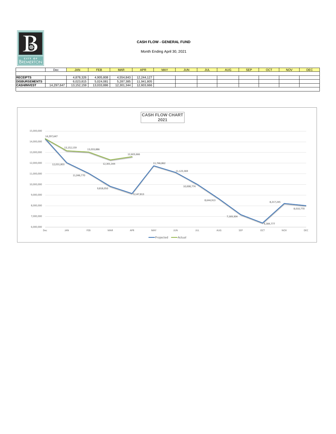|                      | Dec        | <b>JAN</b> | <b>FEB</b> | <b>MAR</b> | <b>APR</b> | <b>MAY</b> | <b>JUN</b> | <b>JUL</b> | AUG | <b>SEP</b> | <b>OCT</b> | <b>NOV</b> | <b>DEC</b> |
|----------------------|------------|------------|------------|------------|------------|------------|------------|------------|-----|------------|------------|------------|------------|
|                      |            |            |            |            |            |            |            |            |     |            |            |            |            |
| <b>RECEIPTS</b>      |            | 4,878,326  | 4,905,808  | 4,554,843  | 12,244,127 |            |            |            |     |            |            |            |            |
| <b>DISBURSEMENTS</b> |            | 6,023,815  | 5,024,081  | 5,287,385  | 11,941,805 |            |            |            |     |            |            |            |            |
| <b>CASH/INVEST</b>   | 14,297,647 | 13,152,159 | 13,033,886 | 12,301,344 | 12,603,666 |            |            |            |     |            |            |            |            |
|                      |            |            |            |            |            |            |            |            |     |            |            |            |            |



### **CASH FLOW - GENERAL FUND**